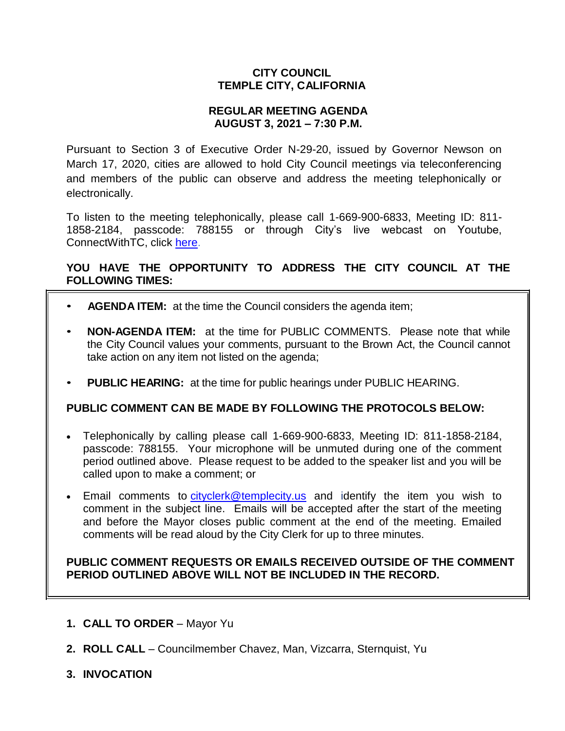## **CITY COUNCIL TEMPLE CITY, CALIFORNIA**

### **REGULAR MEETING AGENDA AUGUST 3, 2021 – 7:30 P.M.**

Pursuant to Section 3 of Executive Order N-29-20, issued by Governor Newson on March 17, 2020, cities are allowed to hold City Council meetings via teleconferencing and members of the public can observe and address the meeting telephonically or electronically.

To listen to the meeting telephonically, please call 1-669-900-6833, Meeting ID: 811- 1858-2184, passcode: 788155 or through City's live webcast on Youtube, ConnectWithTC, click [here.](https://www.ci.temple-city.ca.us/516/Meeting-Webcast)

## **YOU HAVE THE OPPORTUNITY TO ADDRESS THE CITY COUNCIL AT THE FOLLOWING TIMES:**

- **AGENDA ITEM:** at the time the Council considers the agenda item;
- **NON-AGENDA ITEM:** at the time for PUBLIC COMMENTS. Please note that while the City Council values your comments, pursuant to the Brown Act, the Council cannot take action on any item not listed on the agenda;
- **PUBLIC HEARING:** at the time for public hearings under PUBLIC HEARING.

### **PUBLIC COMMENT CAN BE MADE BY FOLLOWING THE PROTOCOLS BELOW:**

- Telephonically by calling please call 1-669-900-6833, Meeting ID: 811-1858-2184, passcode: 788155. Your microphone will be unmuted during one of the comment period outlined above. Please request to be added to the speaker list and you will be called upon to make a comment; or
- Email comments to [cityclerk@templecity.us](mailto:cityclerk@templecity.us) and identify the item you wish to comment in the subject line. Emails will be accepted after the start of the meeting and before the Mayor closes public comment at the end of the meeting. Emailed comments will be read aloud by the City Clerk for up to three minutes.

### **PUBLIC COMMENT REQUESTS OR EMAILS RECEIVED OUTSIDE OF THE COMMENT PERIOD OUTLINED ABOVE WILL NOT BE INCLUDED IN THE RECORD.**

- **1. CALL TO ORDER**  Mayor Yu
- **2. ROLL CALL**  Councilmember Chavez, Man, Vizcarra, Sternquist, Yu
- **3. INVOCATION**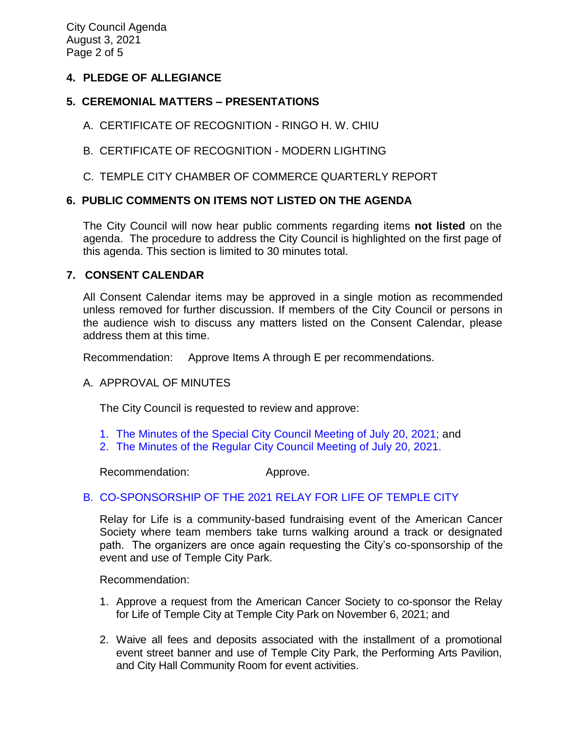## **4. PLEDGE OF ALLEGIANCE**

## **5. CEREMONIAL MATTERS – PRESENTATIONS**

- A. CERTIFICATE OF RECOGNITION RINGO H. W. CHIU
- B. CERTIFICATE OF RECOGNITION MODERN LIGHTING
- C. TEMPLE CITY CHAMBER OF COMMERCE QUARTERLY REPORT

## **6. PUBLIC COMMENTS ON ITEMS NOT LISTED ON THE AGENDA**

The City Council will now hear public comments regarding items **not listed** on the agenda. The procedure to address the City Council is highlighted on the first page of this agenda. This section is limited to 30 minutes total.

### **7. CONSENT CALENDAR**

All Consent Calendar items may be approved in a single motion as recommended unless removed for further discussion. If members of the City Council or persons in the audience wish to discuss any matters listed on the Consent Calendar, please address them at this time.

Recommendation: Approve Items A through E per recommendations.

### A. APPROVAL OF MINUTES

The City Council is requested to review and approve:

- 1. The Minutes of the Special [City Council Meeting of July](https://www.ci.temple-city.ca.us/DocumentCenter/View/16590/7A-1_CCM---2021-07-20-Special-Joint-Meeting-with-Planning-Commission) 20, 2021; and
- 2. The Minutes of the Regular [City Council Meeting of July](https://www.ci.temple-city.ca.us/DocumentCenter/View/16591/7A-2_CCM---2021-07-20-Regular) 20, 2021.

Recommendation: Approve.

# [B. CO-SPONSORSHIP OF THE 2021 RELAY FOR LIFE OF TEMPLE CITY](https://www.ci.temple-city.ca.us/DocumentCenter/View/16592/7B_Relay-for-Life-Request-Staff-Report_w-attachments)

Relay for Life is a community-based fundraising event of the American Cancer Society where team members take turns walking around a track or designated path. The organizers are once again requesting the City's co-sponsorship of the event and use of Temple City Park.

Recommendation:

- 1. Approve a request from the American Cancer Society to co-sponsor the Relay for Life of Temple City at Temple City Park on November 6, 2021; and
- 2. Waive all fees and deposits associated with the installment of a promotional event street banner and use of Temple City Park, the Performing Arts Pavilion, and City Hall Community Room for event activities.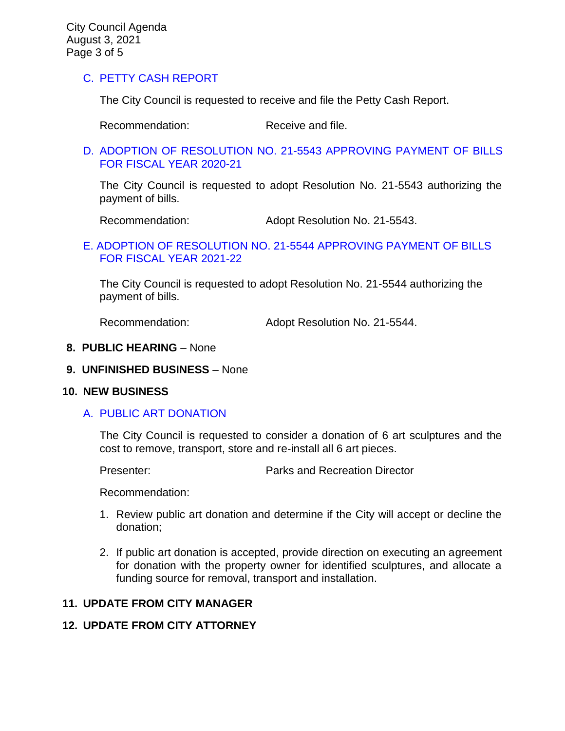## C. [PETTY CASH](https://www.ci.temple-city.ca.us/DocumentCenter/View/16593/7C_Petty-Cash-Staff-Report) REPORT

The City Council is requested to receive and file the Petty Cash Report.

Recommendation: Receive and file.

#### D. [ADOPTION OF RESOLUTION NO. 21-5543](https://www.ci.temple-city.ca.us/DocumentCenter/View/16587/7D_CC-Warrant-FY-2020-21) APPROVING PAYMENT OF BILLS [FOR FISCAL YEAR 2020-21](https://www.ci.temple-city.ca.us/DocumentCenter/View/16587/7D_CC-Warrant-FY-2020-21)

The City Council is requested to adopt Resolution No. 21-5543 authorizing the payment of bills.

Recommendation: Adopt Resolution No. 21-5543.

### [E. ADOPTION OF RESOLUTION NO. 21-5544](https://www.ci.temple-city.ca.us/DocumentCenter/View/16588/7E_CC-Warrant-FY-2021-22) APPROVING PAYMENT OF BILLS [FOR FISCAL YEAR 2021-22](https://www.ci.temple-city.ca.us/DocumentCenter/View/16588/7E_CC-Warrant-FY-2021-22)

The City Council is requested to adopt Resolution No. 21-5544 authorizing the payment of bills.

Recommendation: Adopt Resolution No. 21-5544.

#### **8. PUBLIC HEARING** – None

#### **9. UNFINISHED BUSINESS** – None

### **10. NEW BUSINESS**

### A. [PUBLIC ART DONATION](https://www.ci.temple-city.ca.us/DocumentCenter/View/16589/10A_Public-Art-Donation_Staff-Report-w-attachments)

The City Council is requested to consider a donation of 6 art sculptures and the cost to remove, transport, store and re-install all 6 art pieces.

Presenter: Parks and Recreation Director

Recommendation:

- 1. Review public art donation and determine if the City will accept or decline the donation;
- 2. If public art donation is accepted, provide direction on executing an agreement for donation with the property owner for identified sculptures, and allocate a funding source for removal, transport and installation.

### **11. UPDATE FROM CITY MANAGER**

### **12. UPDATE FROM CITY ATTORNEY**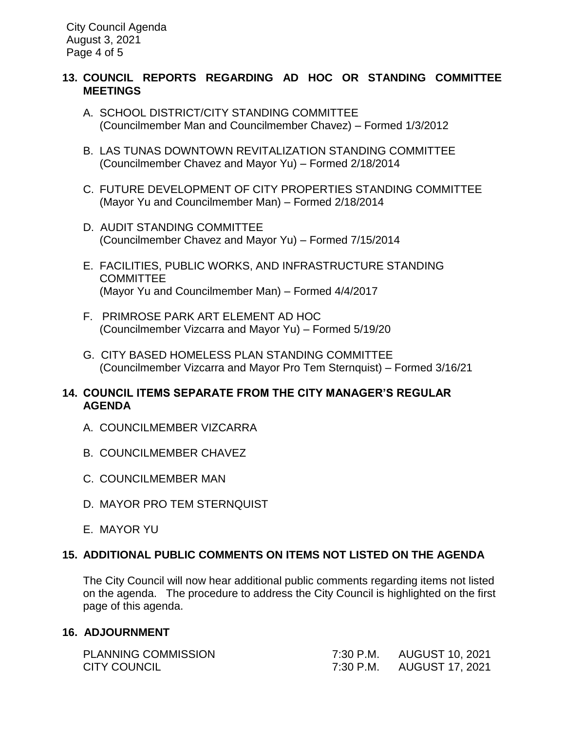## **13. COUNCIL REPORTS REGARDING AD HOC OR STANDING COMMITTEE MEETINGS**

- A. SCHOOL DISTRICT/CITY STANDING COMMITTEE (Councilmember Man and Councilmember Chavez) – Formed 1/3/2012
- B. LAS TUNAS DOWNTOWN REVITALIZATION STANDING COMMITTEE (Councilmember Chavez and Mayor Yu) – Formed 2/18/2014
- C. FUTURE DEVELOPMENT OF CITY PROPERTIES STANDING COMMITTEE (Mayor Yu and Councilmember Man) – Formed 2/18/2014
- D. AUDIT STANDING COMMITTEE (Councilmember Chavez and Mayor Yu) – Formed 7/15/2014
- E. FACILITIES, PUBLIC WORKS, AND INFRASTRUCTURE STANDING COMMITTEE (Mayor Yu and Councilmember Man) – Formed 4/4/2017
- F. PRIMROSE PARK ART ELEMENT AD HOC (Councilmember Vizcarra and Mayor Yu) – Formed 5/19/20
- G. CITY BASED HOMELESS PLAN STANDING COMMITTEE (Councilmember Vizcarra and Mayor Pro Tem Sternquist) – Formed 3/16/21

# **14. COUNCIL ITEMS SEPARATE FROM THE CITY MANAGER'S REGULAR AGENDA**

- A. COUNCILMEMBER VIZCARRA
- B. COUNCILMEMBER CHAVEZ
- C. COUNCILMEMBER MAN
- D. MAYOR PRO TEM STERNQUIST
- E. MAYOR YU

# **15. ADDITIONAL PUBLIC COMMENTS ON ITEMS NOT LISTED ON THE AGENDA**

The City Council will now hear additional public comments regarding items not listed on the agenda. The procedure to address the City Council is highlighted on the first page of this agenda.

# **16. ADJOURNMENT**

| <b>PLANNING COMMISSION</b> | 7:30 P.M. | AUGUST 10, 2021           |
|----------------------------|-----------|---------------------------|
| <b>CITY COUNCIL</b>        |           | 7:30 P.M. AUGUST 17, 2021 |